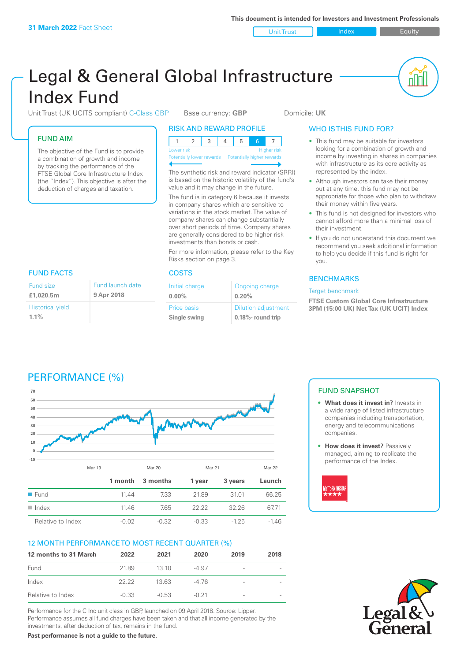Unit Trust Index **Index** Equity

nl Inl

# Legal & General Global Infrastructure Index Fund

Unit Trust (UK UCITS compliant) C-Class GBP Base currency: GBP Domicile: UK

# FUND AIM

The objective of the Fund is to provide a combination of growth and income by tracking the performance of the FTSE Global Core Infrastructure Index (the "Index"). This objective is after the deduction of charges and taxation.

### RISK AND REWARD PROFILE

| Lower risk |  |  |  | <b>Higher risk</b> |
|------------|--|--|--|--------------------|

**Potentially lower rewards** 

The synthetic risk and reward indicator (SRRI) is based on the historic volatility of the fund's value and it may change in the future.

The fund is in category 6 because it invests in company shares which are sensitive to variations in the stock market. The value of company shares can change substantially over short periods of time. Company shares are generally considered to be higher risk investments than bonds or cash.

For more information, please refer to the Key Risks section on page 3.

| Initial charge | Ongoing charge             |
|----------------|----------------------------|
| $0.00\%$       | 0.20%                      |
| Price basis    | <b>Dilution adjustment</b> |
| Single swing   | 0.18%- round trip          |

# WHO IS THIS FUND FOR?

- This fund may be suitable for investors looking for a combination of growth and income by investing in shares in companies with infrastructure as its core activity as represented by the index.
- Although investors can take their money out at any time, this fund may not be appropriate for those who plan to withdraw their money within five years.
- This fund is not designed for investors who cannot afford more than a minimal loss of their investment.
- If you do not understand this document we recommend you seek additional information to help you decide if this fund is right for you.

# **BENCHMARKS**

### Target benchmark

**FTSE Custom Global Core Infrastructure 3PM (15:00 UK) Net Tax (UK UCIT) Index**

# FUND FACTS COSTS

| Fund size                          | Fund launch date |
|------------------------------------|------------------|
| £1,020.5m                          | 9 Apr 2018       |
| <b>Historical yield</b><br>$1.1\%$ |                  |

PERFORMANCE (%)

# **70 60 50 40** mmm **30 20 10 0 -10** Mar 19 Mar 20 Mar 21 Mar 22 **1 month 3 months 1 year 3 years Launch** ■ Fund 11.44 7.33 21.89 31.01 66.25 n Index 11.46 7.65 22.22 32.26 67.71 Relative to Index  $-0.02$   $-0.32$   $-0.33$   $-1.25$   $-1.46$

# 12 MONTH PERFORMANCE TO MOST RECENT QUARTER (%)

| 12 months to 31 March | 2022    | 2021    | 2020    | 2019                     | 2018 |
|-----------------------|---------|---------|---------|--------------------------|------|
| Fund                  | 2189    | 13 10   | $-4.97$ | -                        |      |
| Index                 | 22.22   | 13 63   | -4 76   | $\qquad \qquad$          |      |
| Relative to Index     | $-0.33$ | $-0.53$ | $-0.21$ | $\overline{\phantom{0}}$ |      |

Performance for the C Inc unit class in GBP, launched on 09 April 2018. Source: Lipper. Performance assumes all fund charges have been taken and that all income generated by the investments, after deduction of tax, remains in the fund.

**Past performance is not a guide to the future.**

# FUND SNAPSHOT

- **• What does it invest in?** Invests in a wide range of listed infrastructure companies including transportation, energy and telecommunications companies.
- **• How does it invest?** Passively managed, aiming to replicate the performance of the Index.



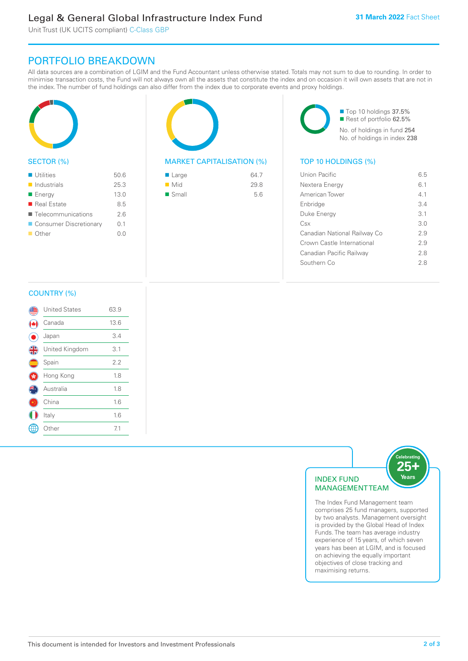# Legal & General Global Infrastructure Index Fund

Unit Trust (UK UCITS compliant) C-Class GBP

# PORTFOLIO BREAKDOWN

All data sources are a combination of LGIM and the Fund Accountant unless otherwise stated. Totals may not sum to due to rounding. In order to minimise transaction costs, the Fund will not always own all the assets that constitute the index and on occasion it will own assets that are not in the index. The number of fund holdings can also differ from the index due to corporate events and proxy holdings.



# SECTOR (%)

| <b>Utilities</b>           | 50.6 |
|----------------------------|------|
| $\blacksquare$ Industrials | 25.3 |
| ■ Energy                   | 13.0 |
| ■ Real Estate              | 8.5  |
| ■ Telecommunications       | 26   |
| ■ Consumer Discretionary   | 0.1  |
| ■ Other                    | 0.0  |
|                            |      |



# MARKET CAPITALISATION (%) TOP 10 HOLDINGS (%)

| ■ Large            | 64.7 |
|--------------------|------|
| $\blacksquare$ Mid | 29.8 |
| ■ Small            | 5.6  |

■ Top 10 holdings 37.5% Rest of portfolio 62.5% No. of holdings in fund 254 No. of holdings in index 238

| Union Pacific                | 65  |
|------------------------------|-----|
| Nextera Energy               | 6.1 |
| American Tower               | 41  |
| Enbridge                     | 34  |
| Duke Energy                  | 3.1 |
| Csx                          | 3 O |
| Canadian National Railway Co | 2.9 |
| Crown Castle International   | 29  |
| Canadian Pacific Railway     | 28  |
| Southern Co                  | 28  |
|                              |     |

# COUNTRY (%)

| <b>United States</b> | 63.9 |  |
|----------------------|------|--|
| Canada               | 13.6 |  |
| Japan                | 3.4  |  |
| United Kingdom       | 3.1  |  |
| Spain                | 2.2  |  |
| Hong Kong            | 1.8  |  |
| Australia            | 1.8  |  |
| China                | 1.6  |  |
| Italy                | 1.6  |  |
| Other                | 7.1  |  |
|                      |      |  |



The Index Fund Management team comprises 25 fund managers, supported by two analysts. Management oversight is provided by the Global Head of Index Funds. The team has average industry experience of 15 years, of which seven years has been at LGIM, and is focused on achieving the equally important objectives of close tracking and maximising returns.